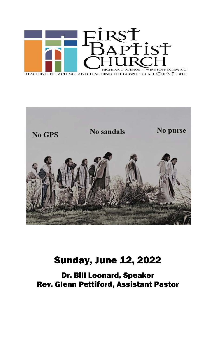



## **Sunday, June 12, 2022**

Dr. Bill Leonard, Speaker Rev. Glenn Pettiford, Assistant Pastor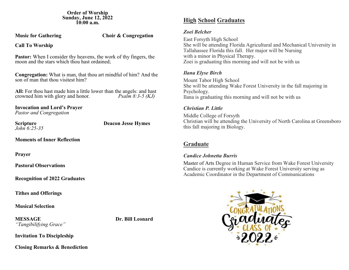**Order of Worship Sunday, June 12, 2022 10:00 a.m.**

**Music for Gathering Choir & Congregation** 

**Call To Worship**

**Pastor:** When I consider thy heavens, the work of thy fingers, the moon and the stars which thou hast ordained;

**Congregation:** What is man, that thou art mindful of him? And the son of man that thou visitest him?

**All:** For thou hast made him a little lower than the angels: and hast crowned him with glory and honor. *Psalm 8:3-5 (KJ)* crowned him with glory and honor.

**Invocation and Lord's Prayer** *Pastor and Congregation*

*John 6:25-35*

**Scripture Deacon Jesse Hymes** 

**Moments of Inner Reflection** 

**Prayer**

**Pastoral Observations**

**Recognition of 2022 Graduates**

**Tithes and Offerings**

**Musical Selection**

**MESSAGE Dr. Bill Leonard** *"Tangibilifying Grace"*

**Invitation To Discipleship** 

**High School Graduates**

## *Zoei Belcher*

East Forsyth High School She will be attending Florida Agricultural and Mechanical University in Tallahassee Florida this fall. Her major will be Nursing with a minor in Physical Therapy. Zoei is graduating this morning and will not be with us

## *Ilana Elyse Birch*

Mount Tabor High School She will be attending Wake Forest University in the fall majoring in Psychology. Ilana is graduating this morning and will not be with us

## *Christian P. Little*

Middle College of Forsyth Christian will be attending the University of North Carolina at Greensboro this fall majoring in Biology.

## **Graduate**

## *Candice Johnetta Burris*

Master of Arts Degree in Human Service from Wake Forest University Candice is currently working at Wake Forest University serving as Academic Coordinator in the Department of Communications



**Closing Remarks & Benediction**